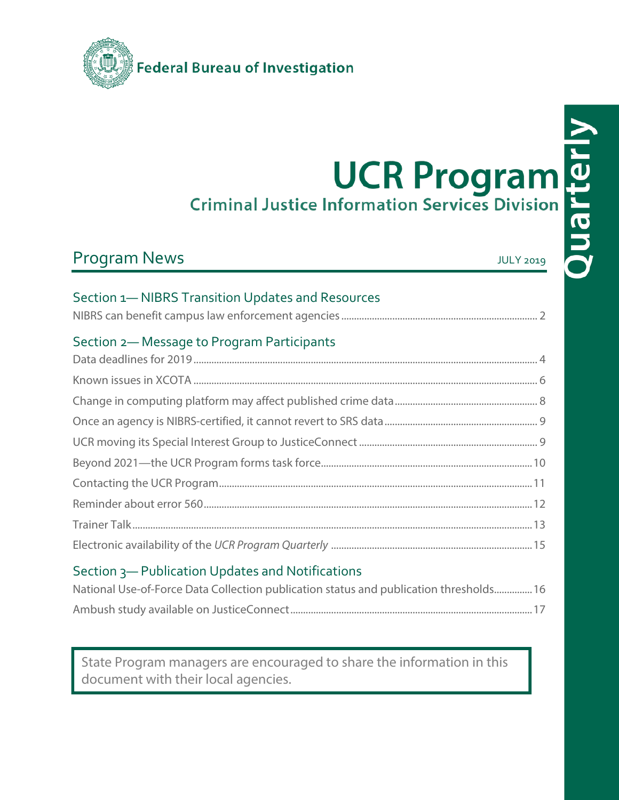

# Program News Program News July 2019

# Section 1— NIBRS Transition Updates and Resources

| Section 1— NIBRS Transition Updates and Resources |  |
|---------------------------------------------------|--|
| Section 2-Message to Program Participants         |  |
|                                                   |  |
|                                                   |  |
|                                                   |  |
|                                                   |  |
|                                                   |  |
|                                                   |  |
|                                                   |  |
|                                                   |  |
|                                                   |  |

# Section 3— Publication Updates and Notifications

| National Use-of-Force Data Collection publication status and publication thresholds 16 |  |
|----------------------------------------------------------------------------------------|--|
|                                                                                        |  |

State Program managers are encouraged to share the information in this document with their local agencies.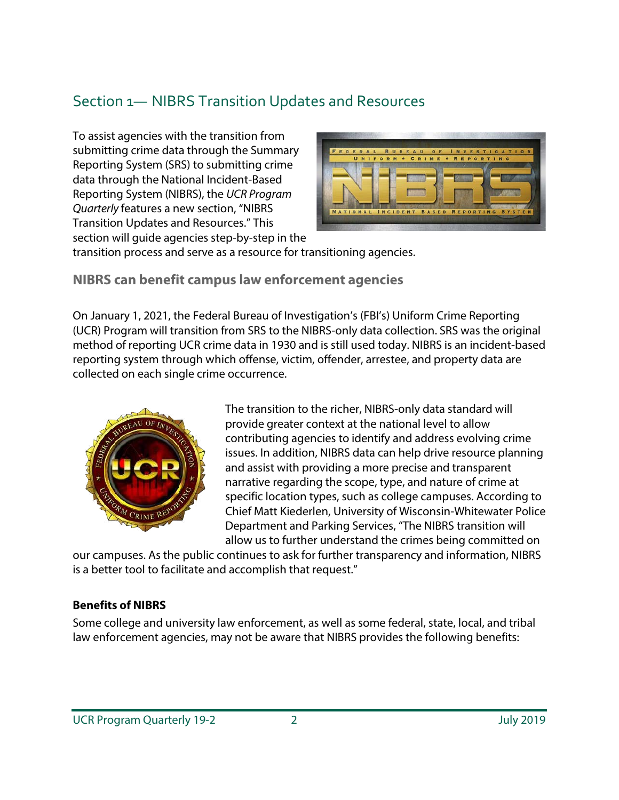# Section 1— NIBRS Transition Updates and Resources

To assist agencies with the transition from submitting crime data through the Summary Reporting System (SRS) to submitting crime data through the National Incident-Based Reporting System (NIBRS), the *UCR Program Quarterly* features a new section, "NIBRS Transition Updates and Resources." This section will guide agencies step-by-step in the



transition process and serve as a resource for transitioning agencies.

**NIBRS can benefit campus law enforcement agencies**

On January 1, 2021, the Federal Bureau of Investigation's (FBI's) Uniform Crime Reporting (UCR) Program will transition from SRS to the NIBRS-only data collection. SRS was the original method of reporting UCR crime data in 1930 and is still used today. NIBRS is an incident-based reporting system through which offense, victim, offender, arrestee, and property data are collected on each single crime occurrence.



The transition to the richer, NIBRS-only data standard will provide greater context at the national level to allow contributing agencies to identify and address evolving crime issues. In addition, NIBRS data can help drive resource planning and assist with providing a more precise and transparent narrative regarding the scope, type, and nature of crime at specific location types, such as college campuses. According to Chief Matt Kiederlen, University of Wisconsin-Whitewater Police Department and Parking Services, "The NIBRS transition will allow us to further understand the crimes being committed on

our campuses. As the public continues to ask for further transparency and information, NIBRS is a better tool to facilitate and accomplish that request."

### **Benefits of NIBRS**

Some college and university law enforcement, as well as some federal, state, local, and tribal law enforcement agencies, may not be aware that NIBRS provides the following benefits: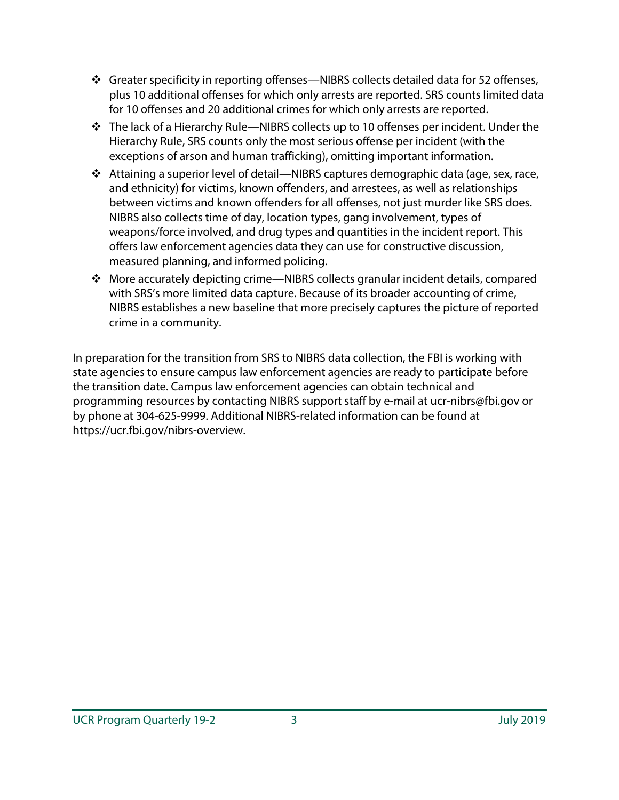- Greater specificity in reporting offenses—NIBRS collects detailed data for 52 offenses, plus 10 additional offenses for which only arrests are reported. SRS counts limited data for 10 offenses and 20 additional crimes for which only arrests are reported.
- The lack of a Hierarchy Rule—NIBRS collects up to 10 offenses per incident. Under the Hierarchy Rule, SRS counts only the most serious offense per incident (with the exceptions of arson and human trafficking), omitting important information.
- Attaining a superior level of detail—NIBRS captures demographic data (age, sex, race, and ethnicity) for victims, known offenders, and arrestees, as well as relationships between victims and known offenders for all offenses, not just murder like SRS does. NIBRS also collects time of day, location types, gang involvement, types of weapons/force involved, and drug types and quantities in the incident report. This offers law enforcement agencies data they can use for constructive discussion, measured planning, and informed policing.
- More accurately depicting crime—NIBRS collects granular incident details, compared with SRS's more limited data capture. Because of its broader accounting of crime, NIBRS establishes a new baseline that more precisely captures the picture of reported crime in a community.

In preparation for the transition from SRS to NIBRS data collection, the FBI is working with state agencies to ensure campus law enforcement agencies are ready to participate before the transition date. Campus law enforcement agencies can obtain technical and programming resources by contacting NIBRS support staff by e-mail at ucr-nibrs@fbi.gov or by phone at 304-625-9999. Additional NIBRS-related information can be found at https://ucr.fbi.gov/nibrs-overview.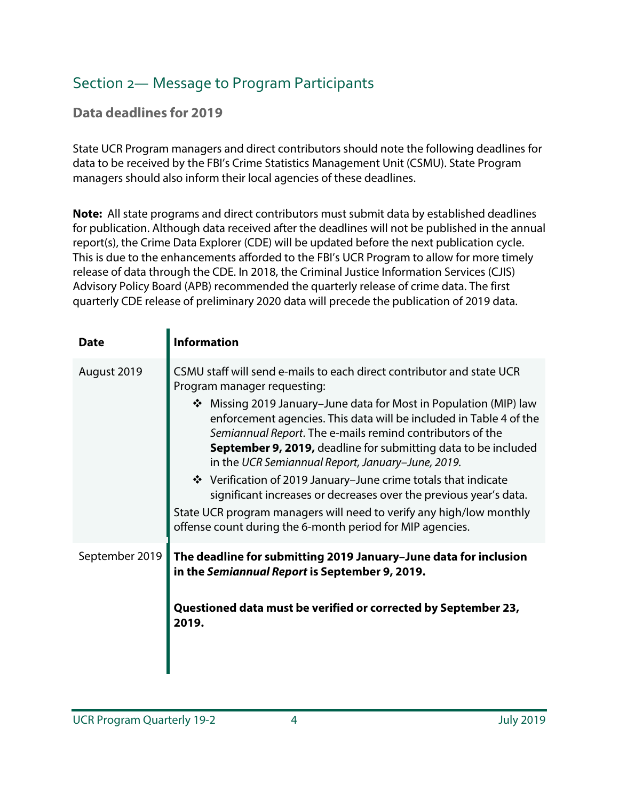# Section 2— Message to Program Participants

## **Data deadlines for 2019**

State UCR Program managers and direct contributors should note the following deadlines for data to be received by the FBI's Crime Statistics Management Unit (CSMU). State Program managers should also inform their local agencies of these deadlines.

**Note:** All state programs and direct contributors must submit data by established deadlines for publication. Although data received after the deadlines will not be published in the annual report(s), the Crime Data Explorer (CDE) will be updated before the next publication cycle. This is due to the enhancements afforded to the FBI's UCR Program to allow for more timely release of data through the CDE. In 2018, the Criminal Justice Information Services (CJIS) Advisory Policy Board (APB) recommended the quarterly release of crime data. The first quarterly CDE release of preliminary 2020 data will precede the publication of 2019 data.

| <b>Date</b>    | <b>Information</b>                                                                                                                                                                                                                                                                                                                                                                                                                                                                                                                                                                                                                                                                                             |
|----------------|----------------------------------------------------------------------------------------------------------------------------------------------------------------------------------------------------------------------------------------------------------------------------------------------------------------------------------------------------------------------------------------------------------------------------------------------------------------------------------------------------------------------------------------------------------------------------------------------------------------------------------------------------------------------------------------------------------------|
| August 2019    | CSMU staff will send e-mails to each direct contributor and state UCR<br>Program manager requesting:<br>❖ Missing 2019 January–June data for Most in Population (MIP) law<br>enforcement agencies. This data will be included in Table 4 of the<br>Semiannual Report. The e-mails remind contributors of the<br>September 9, 2019, deadline for submitting data to be included<br>in the UCR Semiannual Report, January-June, 2019.<br>❖ Verification of 2019 January–June crime totals that indicate<br>significant increases or decreases over the previous year's data.<br>State UCR program managers will need to verify any high/low monthly<br>offense count during the 6-month period for MIP agencies. |
| September 2019 | The deadline for submitting 2019 January-June data for inclusion<br>in the Semiannual Report is September 9, 2019.<br>Questioned data must be verified or corrected by September 23,<br>2019.                                                                                                                                                                                                                                                                                                                                                                                                                                                                                                                  |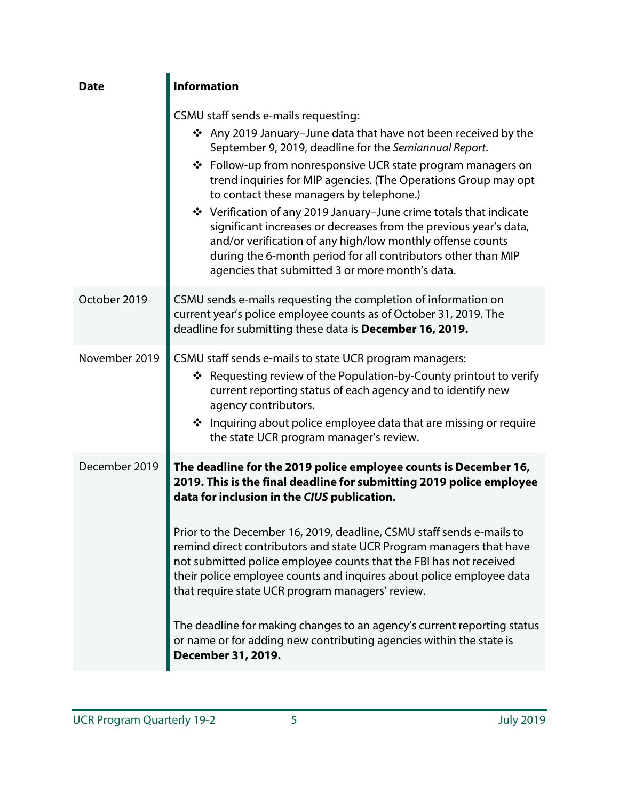| <b>Date</b>   | <b>Information</b>                                                                                                                                                                                                                                                                                                                                                                                                                                                                                                                                                                                                                                                                                                |  |  |  |  |  |  |
|---------------|-------------------------------------------------------------------------------------------------------------------------------------------------------------------------------------------------------------------------------------------------------------------------------------------------------------------------------------------------------------------------------------------------------------------------------------------------------------------------------------------------------------------------------------------------------------------------------------------------------------------------------------------------------------------------------------------------------------------|--|--|--|--|--|--|
|               | CSMU staff sends e-mails requesting:<br>❖ Any 2019 January-June data that have not been received by the<br>September 9, 2019, deadline for the Semiannual Report.<br>❖ Follow-up from nonresponsive UCR state program managers on<br>trend inquiries for MIP agencies. (The Operations Group may opt<br>to contact these managers by telephone.)<br>❖ Verification of any 2019 January–June crime totals that indicate<br>significant increases or decreases from the previous year's data,<br>and/or verification of any high/low monthly offense counts<br>during the 6-month period for all contributors other than MIP<br>agencies that submitted 3 or more month's data.                                     |  |  |  |  |  |  |
| October 2019  | CSMU sends e-mails requesting the completion of information on<br>current year's police employee counts as of October 31, 2019. The<br>deadline for submitting these data is December 16, 2019.                                                                                                                                                                                                                                                                                                                                                                                                                                                                                                                   |  |  |  |  |  |  |
| November 2019 | CSMU staff sends e-mails to state UCR program managers:<br>❖ Requesting review of the Population-by-County printout to verify<br>current reporting status of each agency and to identify new<br>agency contributors.<br>❖ Inquiring about police employee data that are missing or require<br>the state UCR program manager's review.                                                                                                                                                                                                                                                                                                                                                                             |  |  |  |  |  |  |
| December 2019 | The deadline for the 2019 police employee counts is December 16,<br>2019. This is the final deadline for submitting 2019 police employee<br>data for inclusion in the CIUS publication.<br>Prior to the December 16, 2019, deadline, CSMU staff sends e-mails to<br>remind direct contributors and state UCR Program managers that have<br>not submitted police employee counts that the FBI has not received<br>their police employee counts and inquires about police employee data<br>that require state UCR program managers' review.<br>The deadline for making changes to an agency's current reporting status<br>or name or for adding new contributing agencies within the state is<br>December 31, 2019. |  |  |  |  |  |  |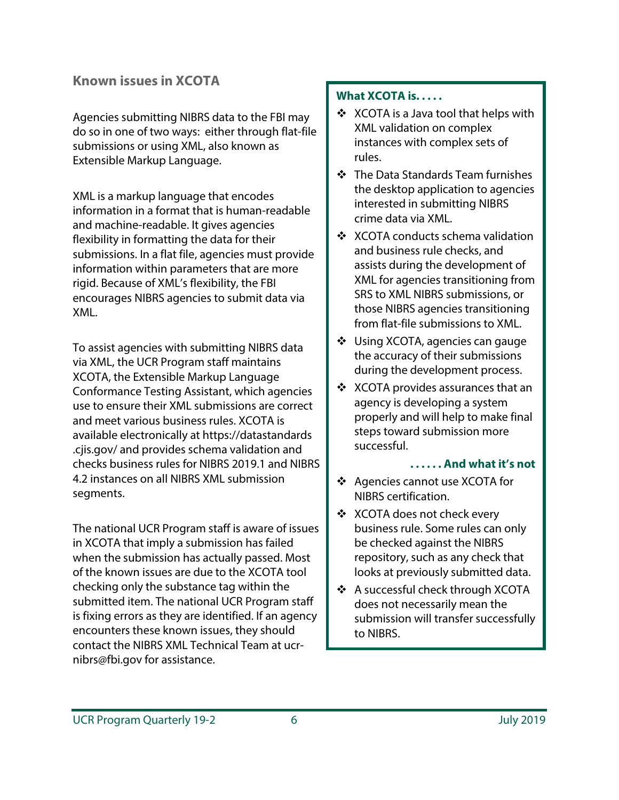### **Known issues in XCOTA**

Agencies submitting NIBRS data to the FBI may do so in one of two ways: either through flat-file submissions or using XML, also known as Extensible Markup Language.

XML is a markup language that encodes information in a format that is human-readable and machine-readable. It gives agencies flexibility in formatting the data for their submissions. In a flat file, agencies must provide information within parameters that are more rigid. Because of XML's flexibility, the FBI encourages NIBRS agencies to submit data via XML.

To assist agencies with submitting NIBRS data via XML, the UCR Program staff maintains XCOTA, the Extensible Markup Language Conformance Testing Assistant, which agencies use to ensure their XML submissions are correct and meet various business rules. XCOTA is available electronically at https://datastandards .cjis.gov/ and provides schema validation and checks business rules for NIBRS 2019.1 and NIBRS 4.2 instances on all NIBRS XML submission segments.

The national UCR Program staff is aware of issues in XCOTA that imply a submission has failed when the submission has actually passed. Most of the known issues are due to the XCOTA tool checking only the substance tag within the submitted item. The national UCR Program staff is fixing errors as they are identified. If an agency encounters these known issues, they should contact the NIBRS XML Technical Team at ucrnibrs@fbi.gov for assistance.

### **What XCOTA is. . . . .**

- ❖ XCOTA is a Java tool that helps with XML validation on complex instances with complex sets of rules.
- The Data Standards Team furnishes the desktop application to agencies interested in submitting NIBRS crime data via XML.
- ❖ XCOTA conducts schema validation and business rule checks, and assists during the development of XML for agencies transitioning from SRS to XML NIBRS submissions, or those NIBRS agencies transitioning from flat-file submissions to XML.
- Using XCOTA, agencies can gauge the accuracy of their submissions during the development process.
- ❖ XCOTA provides assurances that an agency is developing a system properly and will help to make final steps toward submission more successful.

### **. . . . . . And what it's not**

- Agencies cannot use XCOTA for NIBRS certification.
- ❖ XCOTA does not check every business rule. Some rules can only be checked against the NIBRS repository, such as any check that looks at previously submitted data.
- A successful check through XCOTA does not necessarily mean the submission will transfer successfully to NIBRS.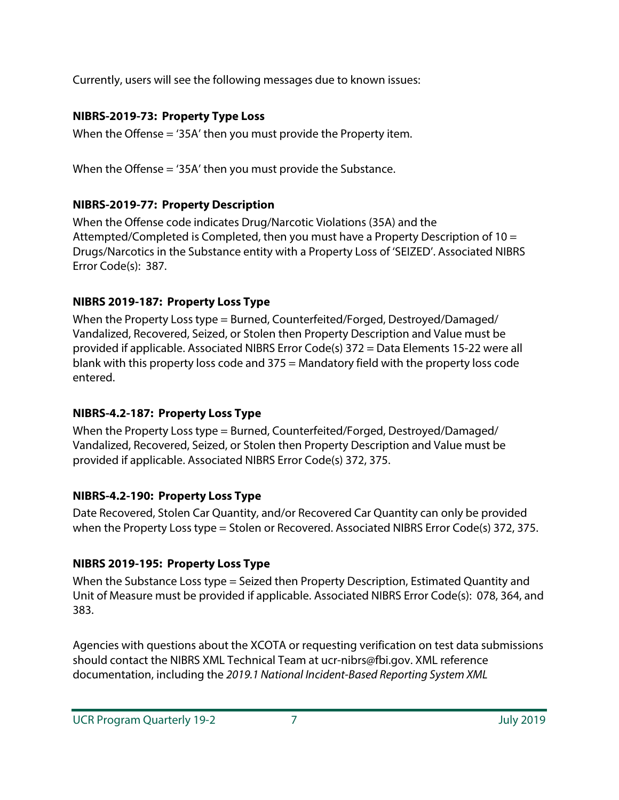Currently, users will see the following messages due to known issues:

### **NIBRS-2019-73: Property Type Loss**

When the Offense = '35A' then you must provide the Property item.

When the Offense = '35A' then you must provide the Substance.

### **NIBRS-2019-77: Property Description**

When the Offense code indicates Drug/Narcotic Violations (35A) and the Attempted/Completed is Completed, then you must have a Property Description of 10 = Drugs/Narcotics in the Substance entity with a Property Loss of 'SEIZED'. Associated NIBRS Error Code(s): 387.

### **NIBRS 2019-187: Property Loss Type**

When the Property Loss type = Burned, Counterfeited/Forged, Destroyed/Damaged/ Vandalized, Recovered, Seized, or Stolen then Property Description and Value must be provided if applicable. Associated NIBRS Error Code(s) 372 = Data Elements 15-22 were all blank with this property loss code and 375 = Mandatory field with the property loss code entered.

### **NIBRS-4.2-187: Property Loss Type**

When the Property Loss type = Burned, Counterfeited/Forged, Destroyed/Damaged/ Vandalized, Recovered, Seized, or Stolen then Property Description and Value must be provided if applicable. Associated NIBRS Error Code(s) 372, 375.

### **NIBRS-4.2-190: Property Loss Type**

Date Recovered, Stolen Car Quantity, and/or Recovered Car Quantity can only be provided when the Property Loss type = Stolen or Recovered. Associated NIBRS Error Code(s) 372, 375.

### **NIBRS 2019-195: Property Loss Type**

When the Substance Loss type = Seized then Property Description, Estimated Quantity and Unit of Measure must be provided if applicable. Associated NIBRS Error Code(s): 078, 364, and 383.

Agencies with questions about the XCOTA or requesting verification on test data submissions should contact the NIBRS XML Technical Team at ucr-nibrs@fbi.gov. XML reference documentation, including the *2019.1 National Incident-Based Reporting System XML*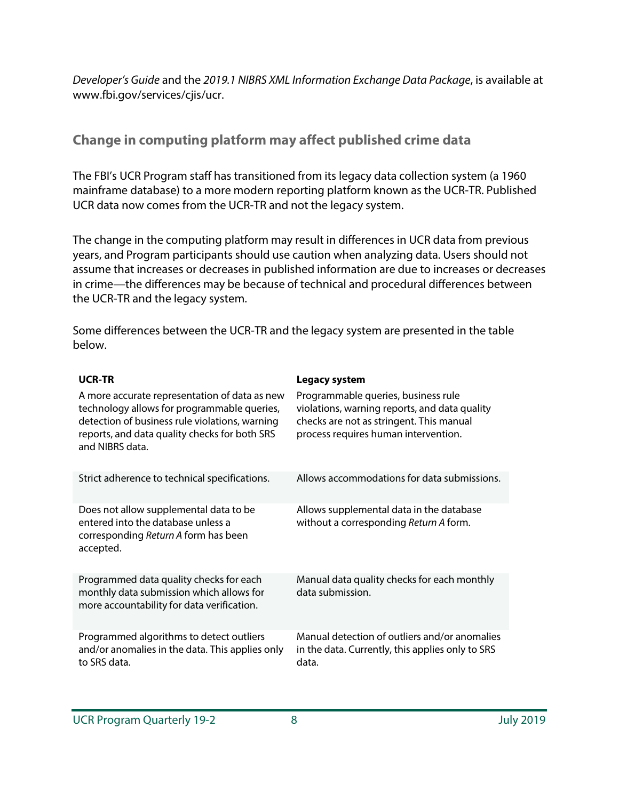*Developer's Guide* and the *2019.1 NIBRS XML Information Exchange Data Package*, is available at www.fbi.gov/services/cjis/ucr.

## **Change in computing platform may affect published crime data**

The FBI's UCR Program staff has transitioned from its legacy data collection system (a 1960 mainframe database) to a more modern reporting platform known as the UCR-TR. Published UCR data now comes from the UCR-TR and not the legacy system.

The change in the computing platform may result in differences in UCR data from previous years, and Program participants should use caution when analyzing data. Users should not assume that increases or decreases in published information are due to increases or decreases in crime—the differences may be because of technical and procedural differences between the UCR-TR and the legacy system.

Some differences between the UCR-TR and the legacy system are presented in the table below.

### **Legacy system**

| A more accurate representation of data as new<br>technology allows for programmable queries,<br>detection of business rule violations, warning<br>reports, and data quality checks for both SRS<br>and NIBRS data. | Programmable queries, business rule<br>violations, warning reports, and data quality<br>checks are not as stringent. This manual<br>process requires human intervention. |
|--------------------------------------------------------------------------------------------------------------------------------------------------------------------------------------------------------------------|--------------------------------------------------------------------------------------------------------------------------------------------------------------------------|
| Strict adherence to technical specifications.                                                                                                                                                                      | Allows accommodations for data submissions.                                                                                                                              |
| Does not allow supplemental data to be<br>entered into the database unless a<br>corresponding Return A form has been<br>accepted.                                                                                  | Allows supplemental data in the database<br>without a corresponding Return A form.                                                                                       |
| Programmed data quality checks for each<br>monthly data submission which allows for<br>more accountability for data verification.                                                                                  | Manual data quality checks for each monthly<br>data submission.                                                                                                          |
| Programmed algorithms to detect outliers<br>and/or anomalies in the data. This applies only<br>to SRS data.                                                                                                        | Manual detection of outliers and/or anomalies<br>in the data. Currently, this applies only to SRS<br>data.                                                               |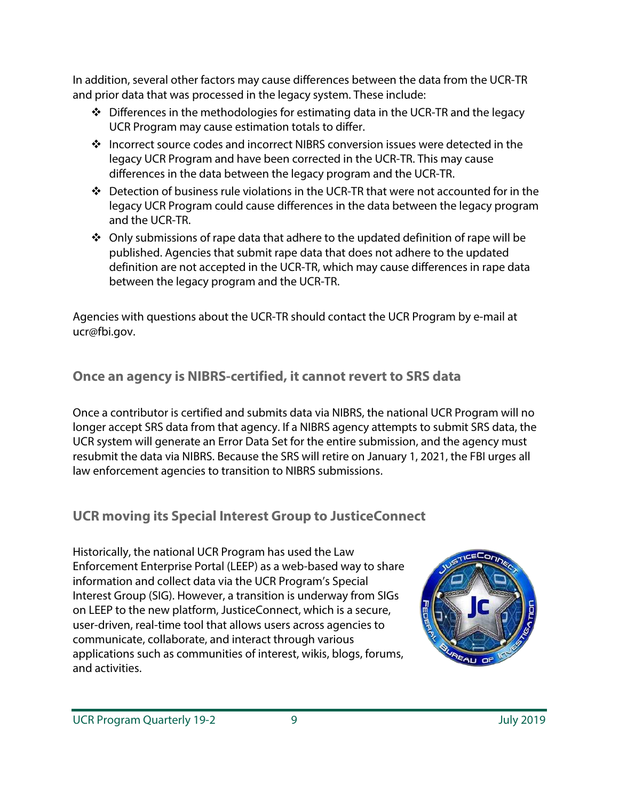In addition, several other factors may cause differences between the data from the UCR-TR and prior data that was processed in the legacy system. These include:

- $\div$  Differences in the methodologies for estimating data in the UCR-TR and the legacy UCR Program may cause estimation totals to differ.
- Incorrect source codes and incorrect NIBRS conversion issues were detected in the legacy UCR Program and have been corrected in the UCR-TR. This may cause differences in the data between the legacy program and the UCR-TR.
- $\cdot \cdot$  Detection of business rule violations in the UCR-TR that were not accounted for in the legacy UCR Program could cause differences in the data between the legacy program and the UCR-TR.
- $\cdot$  Only submissions of rape data that adhere to the updated definition of rape will be published. Agencies that submit rape data that does not adhere to the updated definition are not accepted in the UCR-TR, which may cause differences in rape data between the legacy program and the UCR-TR.

Agencies with questions about the UCR-TR should contact the UCR Program by e-mail at ucr@fbi.gov.

# **Once an agency is NIBRS-certified, it cannot revert to SRS data**

Once a contributor is certified and submits data via NIBRS, the national UCR Program will no longer accept SRS data from that agency. If a NIBRS agency attempts to submit SRS data, the UCR system will generate an Error Data Set for the entire submission, and the agency must resubmit the data via NIBRS. Because the SRS will retire on January 1, 2021, the FBI urges all law enforcement agencies to transition to NIBRS submissions.

# **UCR moving its Special Interest Group to JusticeConnect**

Historically, the national UCR Program has used the Law Enforcement Enterprise Portal (LEEP) as a web-based way to share information and collect data via the UCR Program's Special Interest Group (SIG). However, a transition is underway from SIGs on LEEP to the new platform, JusticeConnect, which is a secure, user-driven, real-time tool that allows users across agencies to communicate, collaborate, and interact through various applications such as communities of interest, wikis, blogs, forums, and activities.

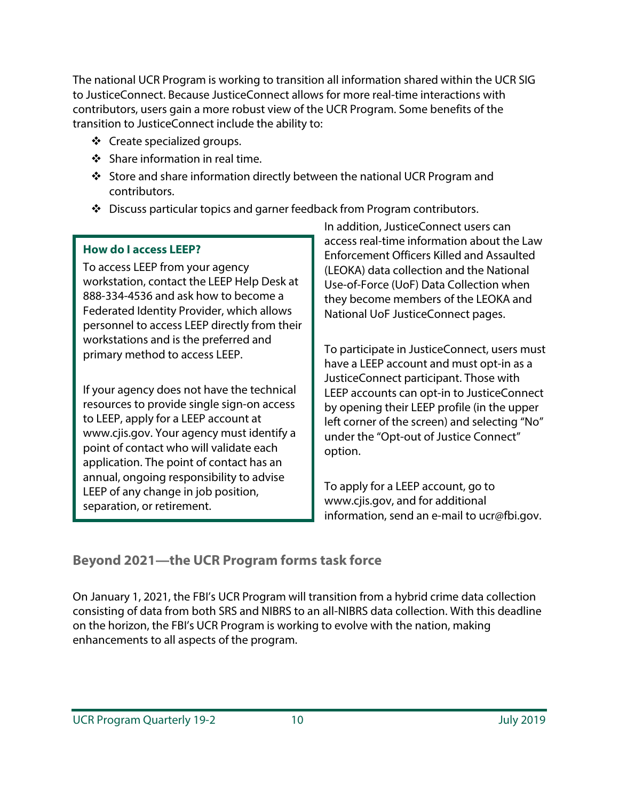The national UCR Program is working to transition all information shared within the UCR SIG to JusticeConnect. Because JusticeConnect allows for more real-time interactions with contributors, users gain a more robust view of the UCR Program. Some benefits of the transition to JusticeConnect include the ability to:

- ❖ Create specialized groups.
- $\div$  Share information in real time.
- Store and share information directly between the national UCR Program and contributors.
- Discuss particular topics and garner feedback from Program contributors.

### **How do I access LEEP?**

To access LEEP from your agency workstation, contact the LEEP Help Desk at 888-334-4536 and ask how to become a Federated Identity Provider, which allows personnel to access LEEP directly from their workstations and is the preferred and primary method to access LEEP.

If your agency does not have the technical resources to provide single sign-on access to LEEP, apply for a LEEP account at www.cjis.gov. Your agency must identify a point of contact who will validate each application. The point of contact has an annual, ongoing responsibility to advise LEEP of any change in job position, separation, or retirement.

In addition, JusticeConnect users can access real-time information about the Law Enforcement Officers Killed and Assaulted (LEOKA) data collection and the National Use-of-Force (UoF) Data Collection when they become members of the LEOKA and National UoF JusticeConnect pages.

To participate in JusticeConnect, users must have a LEEP account and must opt-in as a JusticeConnect participant. Those with LEEP accounts can opt-in to JusticeConnect by opening their LEEP profile (in the upper left corner of the screen) and selecting "No" under the "Opt-out of Justice Connect" option.

To apply for a LEEP account, go to www.cjis.gov, and for additional information, send an e-mail to ucr@fbi.gov.

# **Beyond 2021—the UCR Program forms task force**

On January 1, 2021, the FBI's UCR Program will transition from a hybrid crime data collection consisting of data from both SRS and NIBRS to an all-NIBRS data collection. With this deadline on the horizon, the FBI's UCR Program is working to evolve with the nation, making enhancements to all aspects of the program.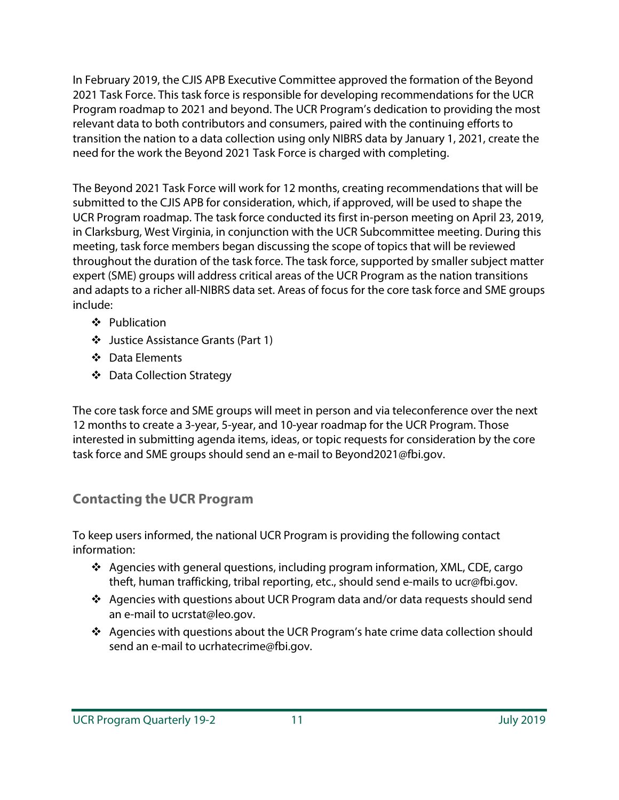In February 2019, the CJIS APB Executive Committee approved the formation of the Beyond 2021 Task Force. This task force is responsible for developing recommendations for the UCR Program roadmap to 2021 and beyond. The UCR Program's dedication to providing the most relevant data to both contributors and consumers, paired with the continuing efforts to transition the nation to a data collection using only NIBRS data by January 1, 2021, create the need for the work the Beyond 2021 Task Force is charged with completing.

The Beyond 2021 Task Force will work for 12 months, creating recommendations that will be submitted to the CJIS APB for consideration, which, if approved, will be used to shape the UCR Program roadmap. The task force conducted its first in-person meeting on April 23, 2019, in Clarksburg, West Virginia, in conjunction with the UCR Subcommittee meeting. During this meeting, task force members began discussing the scope of topics that will be reviewed throughout the duration of the task force. The task force, supported by smaller subject matter expert (SME) groups will address critical areas of the UCR Program as the nation transitions and adapts to a richer all-NIBRS data set. Areas of focus for the core task force and SME groups include:

- Publication
- Justice Assistance Grants (Part 1)
- **❖** Data Flements
- ❖ Data Collection Strategy

The core task force and SME groups will meet in person and via teleconference over the next 12 months to create a 3-year, 5-year, and 10-year roadmap for the UCR Program. Those interested in submitting agenda items, ideas, or topic requests for consideration by the core task force and SME groups should send an e-mail to Beyond2021@fbi.gov.

### **Contacting the UCR Program**

To keep users informed, the national UCR Program is providing the following contact information:

- $\cdot$  Agencies with general questions, including program information, XML, CDE, cargo theft, human trafficking, tribal reporting, etc., should send e-mails to ucr@fbi.gov.
- Agencies with questions about UCR Program data and/or data requests should send an e-mail to ucrstat@leo.gov.
- Agencies with questions about the UCR Program's hate crime data collection should send an e-mail to ucrhatecrime@fbi.gov.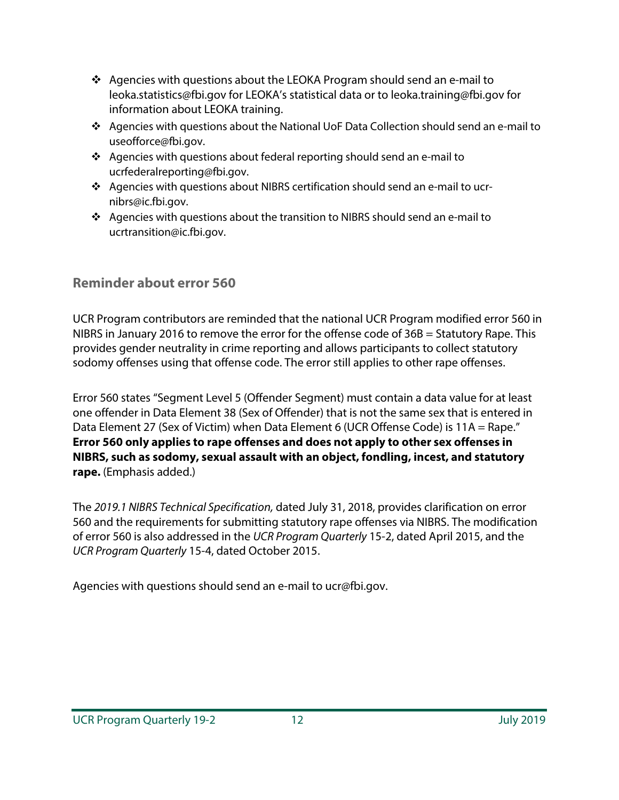- $\cdot \cdot$  Agencies with questions about the LEOKA Program should send an e-mail to leoka.statistics@fbi.gov for LEOKA's statistical data or to leoka.training@fbi.gov for information about LEOKA training.
- Agencies with questions about the National UoF Data Collection should send an e-mail to useofforce@fbi.gov.
- $\triangleleft$  Agencies with questions about federal reporting should send an e-mail to ucrfederalreporting@fbi.gov.
- Agencies with questions about NIBRS certification should send an e-mail to ucrnibrs@ic.fbi.gov.
- $\triangleleft$  Agencies with questions about the transition to NIBRS should send an e-mail to ucrtransition@ic.fbi.gov.

### **Reminder about error 560**

UCR Program contributors are reminded that the national UCR Program modified error 560 in NIBRS in January 2016 to remove the error for the offense code of 36B = Statutory Rape. This provides gender neutrality in crime reporting and allows participants to collect statutory sodomy offenses using that offense code. The error still applies to other rape offenses.

Error 560 states "Segment Level 5 (Offender Segment) must contain a data value for at least one offender in Data Element 38 (Sex of Offender) that is not the same sex that is entered in Data Element 27 (Sex of Victim) when Data Element 6 (UCR Offense Code) is 11A = Rape." **Error 560 only applies to rape offenses and does not apply to other sex offenses in NIBRS, such as sodomy, sexual assault with an object, fondling, incest, and statutory rape.** (Emphasis added.)

The *2019.1 NIBRS Technical Specification,* dated July 31, 2018, provides clarification on error 560 and the requirements for submitting statutory rape offenses via NIBRS. The modification of error 560 is also addressed in the *UCR Program Quarterly* 15-2, dated April 2015, and the *UCR Program Quarterly* 15-4, dated October 2015.

Agencies with questions should send an e-mail to ucr@fbi.gov.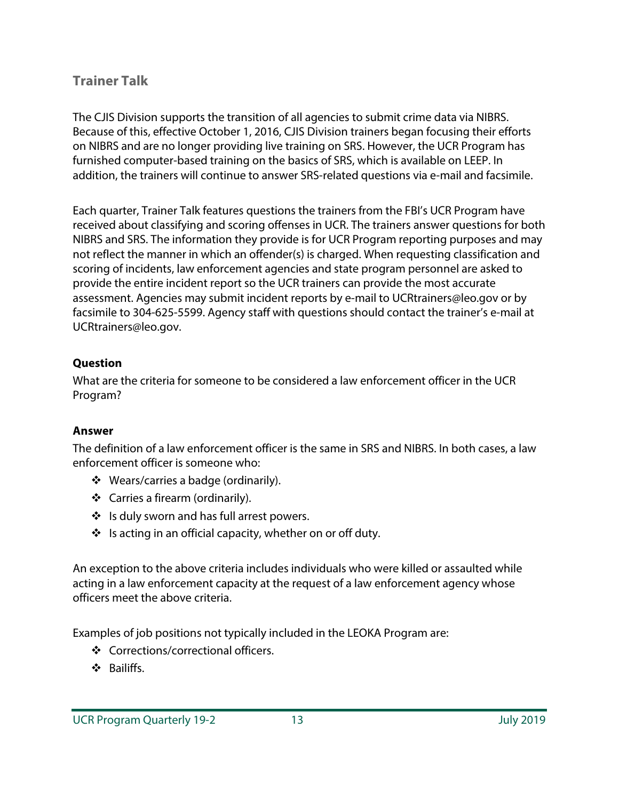### **Trainer Talk**

The CJIS Division supports the transition of all agencies to submit crime data via NIBRS. Because of this, effective October 1, 2016, CJIS Division trainers began focusing their efforts on NIBRS and are no longer providing live training on SRS. However, the UCR Program has furnished computer-based training on the basics of SRS, which is available on LEEP. In addition, the trainers will continue to answer SRS-related questions via e-mail and facsimile.

Each quarter, Trainer Talk features questions the trainers from the FBI's UCR Program have received about classifying and scoring offenses in UCR. The trainers answer questions for both NIBRS and SRS. The information they provide is for UCR Program reporting purposes and may not reflect the manner in which an offender(s) is charged. When requesting classification and scoring of incidents, law enforcement agencies and state program personnel are asked to provide the entire incident report so the UCR trainers can provide the most accurate assessment. Agencies may submit incident reports by e-mail to UCRtrainers@leo.gov or by facsimile to 304-625-5599. Agency staff with questions should contact the trainer's e-mail at UCRtrainers@leo.gov.

### **Question**

What are the criteria for someone to be considered a law enforcement officer in the UCR Program?

### **Answer**

The definition of a law enforcement officer is the same in SRS and NIBRS. In both cases, a law enforcement officer is someone who:

- ❖ Wears/carries a badge (ordinarily).
- Carries a firearm (ordinarily).
- ❖ Is duly sworn and has full arrest powers.
- $\cdot$  Is acting in an official capacity, whether on or off duty.

An exception to the above criteria includes individuals who were killed or assaulted while acting in a law enforcement capacity at the request of a law enforcement agency whose officers meet the above criteria.

Examples of job positions not typically included in the LEOKA Program are:

- ❖ Corrections/correctional officers.
- **S** Bailiffs.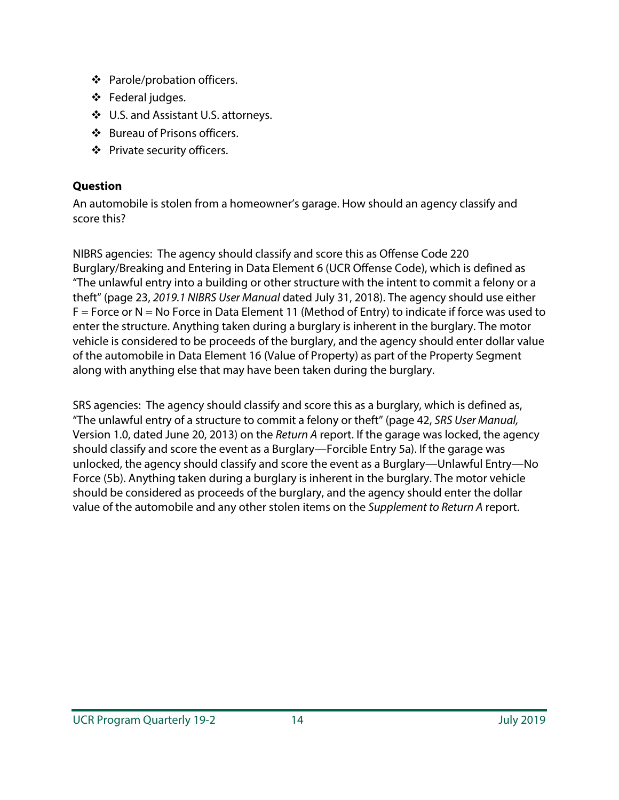- ❖ Parole/probation officers.
- Federal judges.
- ❖ U.S. and Assistant U.S. attorneys.
- Bureau of Prisons officers.
- ❖ Private security officers.

### **Question**

An automobile is stolen from a homeowner's garage. How should an agency classify and score this?

NIBRS agencies: The agency should classify and score this as Offense Code 220 Burglary/Breaking and Entering in Data Element 6 (UCR Offense Code), which is defined as "The unlawful entry into a building or other structure with the intent to commit a felony or a theft" (page 23, *2019.1 NIBRS User Manual* dated July 31, 2018). The agency should use either  $F =$  Force or N = No Force in Data Element 11 (Method of Entry) to indicate if force was used to enter the structure. Anything taken during a burglary is inherent in the burglary. The motor vehicle is considered to be proceeds of the burglary, and the agency should enter dollar value of the automobile in Data Element 16 (Value of Property) as part of the Property Segment along with anything else that may have been taken during the burglary.

SRS agencies: The agency should classify and score this as a burglary, which is defined as, "The unlawful entry of a structure to commit a felony or theft" (page 42, *SRS User Manual,* Version 1.0, dated June 20, 2013) on the *Return A* report. If the garage was locked, the agency should classify and score the event as a Burglary—Forcible Entry 5a). If the garage was unlocked, the agency should classify and score the event as a Burglary—Unlawful Entry—No Force (5b). Anything taken during a burglary is inherent in the burglary. The motor vehicle should be considered as proceeds of the burglary, and the agency should enter the dollar value of the automobile and any other stolen items on the *Supplement to Return A* report.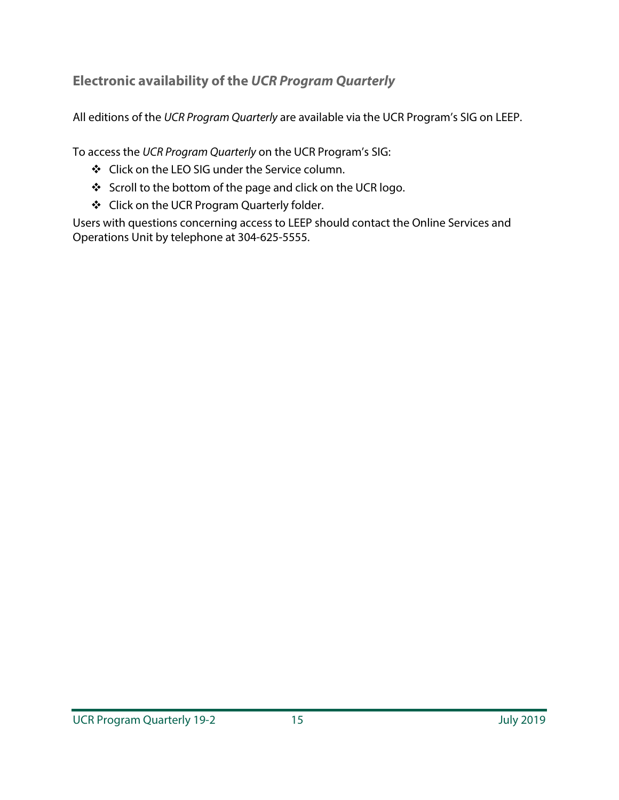# **Electronic availability of the UCR Program Quarterly**

All editions of the *UCR Program Quarterly* are available via the UCR Program's SIG on LEEP.

To access the *UCR Program Quarterly* on the UCR Program's SIG:

- Click on the LEO SIG under the Service column.
- Scroll to the bottom of the page and click on the UCR logo.
- Click on the UCR Program Quarterly folder.

Users with questions concerning access to LEEP should contact the Online Services and Operations Unit by telephone at 304-625-5555.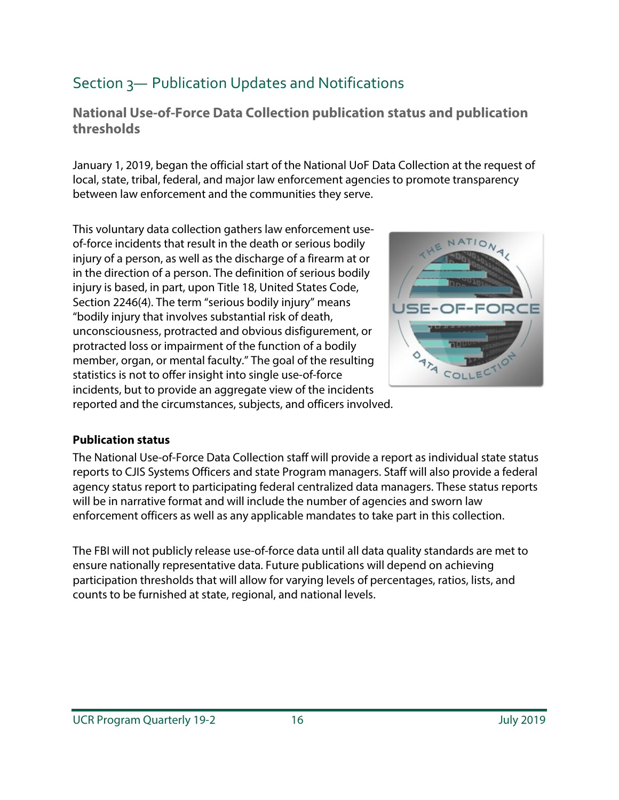# Section 3— Publication Updates and Notifications

**National Use-of-Force Data Collection publication status and publication thresholds**

January 1, 2019, began the official start of the National UoF Data Collection at the request of local, state, tribal, federal, and major law enforcement agencies to promote transparency between law enforcement and the communities they serve.

This voluntary data collection gathers law enforcement useof-force incidents that result in the death or serious bodily injury of a person, as well as the discharge of a firearm at or in the direction of a person. The definition of serious bodily injury is based, in part, upon Title 18, United States Code, Section 2246(4). The term "serious bodily injury" means "bodily injury that involves substantial risk of death, unconsciousness, protracted and obvious disfigurement, or protracted loss or impairment of the function of a bodily member, organ, or mental faculty." The goal of the resulting statistics is not to offer insight into single use-of-force incidents, but to provide an aggregate view of the incidents reported and the circumstances, subjects, and officers involved.



### **Publication status**

The National Use-of-Force Data Collection staff will provide a report as individual state status reports to CJIS Systems Officers and state Program managers. Staff will also provide a federal agency status report to participating federal centralized data managers. These status reports will be in narrative format and will include the number of agencies and sworn law enforcement officers as well as any applicable mandates to take part in this collection.

The FBI will not publicly release use-of-force data until all data quality standards are met to ensure nationally representative data. Future publications will depend on achieving participation thresholds that will allow for varying levels of percentages, ratios, lists, and counts to be furnished at state, regional, and national levels.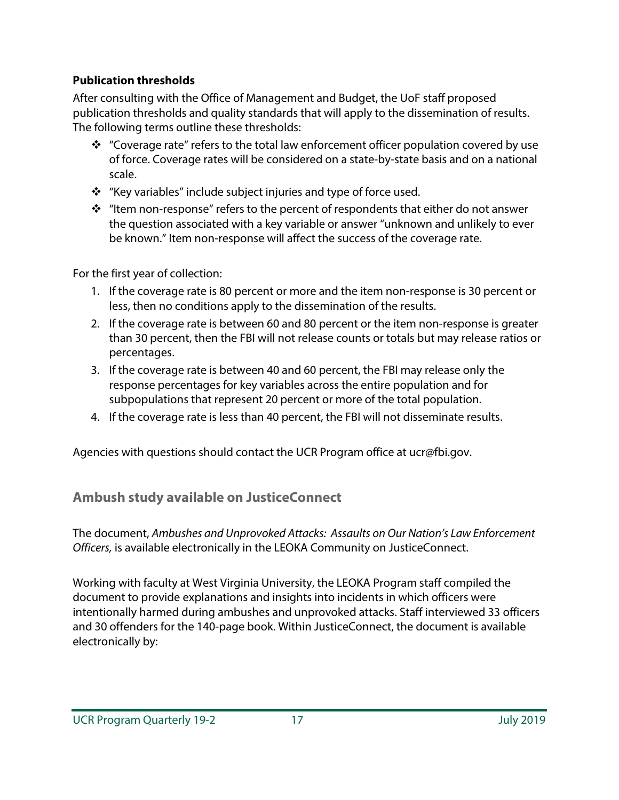### **Publication thresholds**

After consulting with the Office of Management and Budget, the UoF staff proposed publication thresholds and quality standards that will apply to the dissemination of results. The following terms outline these thresholds:

- \* "Coverage rate" refers to the total law enforcement officer population covered by use of force. Coverage rates will be considered on a state-by-state basis and on a national scale.
- "Key variables" include subject injuries and type of force used.
- $\cdot \cdot$  "Item non-response" refers to the percent of respondents that either do not answer the question associated with a key variable or answer "unknown and unlikely to ever be known." Item non-response will affect the success of the coverage rate.

For the first year of collection:

- 1. If the coverage rate is 80 percent or more and the item non-response is 30 percent or less, then no conditions apply to the dissemination of the results.
- 2. If the coverage rate is between 60 and 80 percent or the item non-response is greater than 30 percent, then the FBI will not release counts or totals but may release ratios or percentages.
- 3. If the coverage rate is between 40 and 60 percent, the FBI may release only the response percentages for key variables across the entire population and for subpopulations that represent 20 percent or more of the total population.
- 4. If the coverage rate is less than 40 percent, the FBI will not disseminate results.

Agencies with questions should contact the UCR Program office at ucr@fbi.gov.

# **Ambush study available on JusticeConnect**

The document, *Ambushes and Unprovoked Attacks: Assaults on Our Nation's Law Enforcement Officers,* is available electronically in the LEOKA Community on JusticeConnect.

Working with faculty at West Virginia University, the LEOKA Program staff compiled the document to provide explanations and insights into incidents in which officers were intentionally harmed during ambushes and unprovoked attacks. Staff interviewed 33 officers and 30 offenders for the 140-page book. Within JusticeConnect, the document is available electronically by: